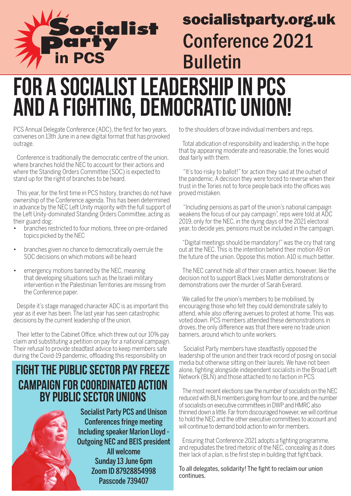

#### socialistparty.org.uk Conference 2021 Bulletin

#### For a socialist leadership in PCS and a fighting, democratic union!

PCS Annual Delegate Conference (ADC), the first for two years, convenes on 13th June in a new digital format that has provoked outrage.

Conference is traditionally the democratic centre of the union, where branches hold the NEC to account for their actions and where the Standing Orders Committee (SOC) is expected to stand up for the right of branches to be heard.

This year, for the first time in PCS history, branches do not have ownership of the Conference agenda. This has been determined in advance by the NEC Left Unity majority with the full support of the Left Unity-dominated Standing Orders Committee, acting as their guard dog:

- branches restricted to four motions, three on pre-ordained topics picked by the NEC
- branches given no chance to democratically overrule the SOC decisions on which motions will be heard
- emergency motions banned by the NEC, meaning that developing situations such as the Israeli military intervention in the Palestinian Territories are missing from the Conference paper.

Despite it's stage managed character ADC is as important this year as it ever has been. The last year has seen catastrophic decisions by the current leadership of the union.

Their letter to the Cabinet Office, which threw out our 10% pay claim and substituting a petition on pay for a national campaign. Their refusal to provide steadfast advice to keep members safe during the Covid-19 pandemic, offloading this responsibility on

#### FIGHT THE PUBLIC SECTOR PAY FREEZE CAMPAIGN FOR COORDINATED ACTION BY PUBLIC SECTOR UNIONS

Socialist Party PCS and Unison Conferences fringe meeting Including speaker Marion Lloyd - Outgoing NEC and BEIS president All welcome Sunday 13 June 6pm Zoom ID 87928854998 Passcode 739407

to the shoulders of brave individual members and reps.

Total abdication of responsibility and leadership, in the hope that by appearing moderate and reasonable, the Tories would deal fairly with them.

 "It's too risky to ballot!" for action they said at the outset of the pandemic. A decision they were forced to reverse when their trust in the Tories not to force people back into the offices was proved mistaken.

 "Including pensions as part of the union's national campaign weakens the focus of our pay campaign", reps were told at ADC 2019, only for the NEC, in the dying days of the 2021 electoral year, to decide yes, pensions must be included in the campaign.

"Digital meetings should be mandatory!" was the cry that rang out at the NEC. This is the intention behind their motion A9 on the future of the union. Oppose this motion. A10 is much better.

The NEC cannot hide all of their craven antics, however, like the decision not to support Black Lives Matter demonstrations or demonstrations over the murder of Sarah Everard.

We called for the union's members to be mobilised, by encouraging those who felt they could demonstrate safely to attend, while also offering avenues to protest at home. This was voted down. PCS members attended these demonstrations in droves, the only difference was that there were no trade union banners, around which to unite workers.

 Socialist Party members have steadfastly opposed the leadership of the union and their track record of posing on social media but otherwise sitting on their laurels. We have not been alone, fighting alongside independent socialists in the Broad Left Network (BLN) and those attached to no faction in PCS.

The most recent elections saw the number of socialists on the NEC reduced with BLN members going from four to one, and the number of socialists on executive committees in DWP and HMRC also thinned down a little. Far from discouraged however, we will continue to hold the NEC and the other executive committees to account and will continue to demand bold action to win for members.

Ensuring that Conference 2021 adopts a fighting programme, and repudiates the tired rhetoric of the NEC, concealing as it does their lack of a plan, is the first step in building that fight back.

To all delegates, solidarity! The fight to reclaim our union continues.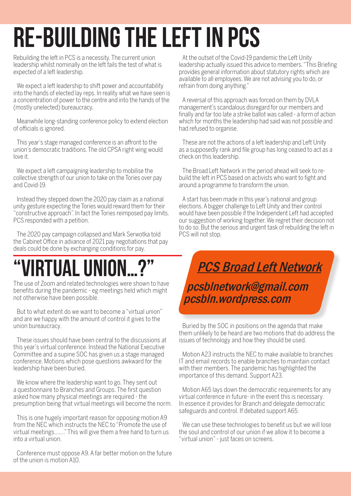# Re-building The Left In PCS

Rebuilding the left in PCS is a necessity. The current union leadership whilst nominally on the left fails the test of what is expected of a left leadership.

We expect a left leadership to shift power and accountability into the hands of elected lay reps. In reality what we have seen is a concentration of power to the centre and into the hands of the (mostly unelected) bureaucracy.

Meanwhile long-standing conference policy to extend election of officials is ignored.

This year's stage managed conference is an affront to the union's democratic traditions. The old CPSA right wing would love it.

We expect a left campaigning leadership to mobilise the collective strength of our union to take on the Tories over pay and Covid-19.

Instead they stepped down the 2020 pay claim as a national unity gesture expecting the Tories would reward them for their "constructive approach". In fact the Tories reimposed pay limits. PCS responded with a petition.

The 2020 pay campaign collapsed and Mark Serwotka told the Cabinet Office in advance of 2021 pay negotiations that pay deals could be done by exchanging conditions for pay.

### "Virtual Union…?"

The use of Zoom and related technologies were shown to have benefits during the pandemic - eg meetings held which might not otherwise have been possible.

But to what extent do we want to become a "virtual union" and are we happy with the amount of control it gives to the union bureaucracy.

These issues should have been central to the discussions at this year's virtual conference. Instead the National Executive Committee and a supine SOC has given us a stage managed conference. Motions which pose questions awkward for the leadership have been buried.

We know where the leadership want to go. They sent out a questionnaire to Branches and Groups. The first question asked how many physical meetings are required - the presumption being that virtual meetings will become the norm.

This is one hugely important reason for opposing motion A9 from the NEC which instructs the NEC to "Promote the use of virtual meetings……." This will give them a free hand to turn us into a virtual union.

Conference must oppose A9. A far better motion on the future of the union is motion A10.

At the outset of the Covid-19 pandemic the Left Unity leadership actually issued this advice to members. "This Briefing provides general information about statutory rights which are available to all employees. We are not advising you to do, or refrain from doing anything."

A reversal of this approach was forced on them by DVLA management's scandalous disregard for our members and finally and far too late a strike ballot was called - a form of action which for months the leadership had said was not possible and had refused to organise.

These are not the actions of a left leadership and Left Unity as a supposedly rank and file group has long ceased to act as a check on this leadership.

The Broad Left Network in the period ahead will seek to rebuild the left in PCS based on activists who want to fight and around a programme to transform the union.

A start has been made in this year's national and group elections. A bigger challenge to Left Unity and their control would have been possible if the Independent Left had accepted our suggestion of working together. We regret their decision not to do so. But the serious and urgent task of rebuilding the left in PCS will not stop.

PCS Broad Left Network pcsblnetwork@gmail.com pcsbln.wordpress.com

Buried by the SOC in positions on the agenda that make them unlikely to be heard are two motions that do address the issues of technology and how they should be used.

Motion A23 instructs the NEC to make available to branches IT and email records to enable branches to maintain contact with their members. The pandemic has highlighted the importance of this demand. Support A23.

Motion A65 lays down the democratic requirements for any virtual conference in future- in the event this is necessary. In essence it provides for Branch and delegate democratic safeguards and control. If debated support A65.

We can use these technologies to benefit us but we will lose the soul and control of our union if we allow it to become a "virtual union" - just faces on screens.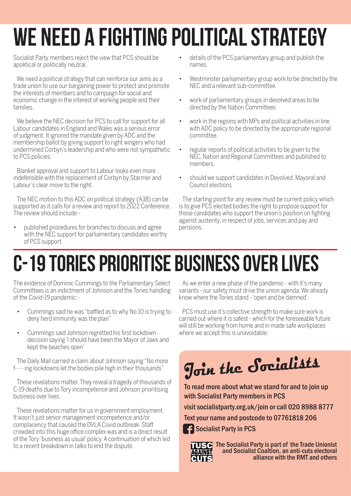# We need a fighting political strategy

Socialist Party members reject the view that PCS should be apolitical or politically neutral.

We need a political strategy that can reinforce our aims as a trade union to use our bargaining power to protect and promote the interests of members and to campaign for social and economic change in the interest of working people and their families.

We believe the NEC decision for PCS to call for support for all Labour candidates in England and Wales was a serious error of judgment. It ignored the mandate given by ADC and the membership ballot by giving support to right wingers who had undermined Corbyn's leadership and who were not sympathetic to PCS policies.

Blanket approval and support to Labour looks even more indefensible with the replacement of Corbyn by Starmer and Labour's clear move to the right.

The NEC motion to this ADC on political strategy (A38) can be supported as it calls for a review and report to 2022 Conference. The review should include:-

published procedures for branches to discuss and agree with the NEC support for parliamentary candidates worthy of PCS support.

- • details of the PCS parliamentary group and publish the names.
- Westminster parliamentary group work to be directed by the NEC and a relevant sub-committee.
- work of parliamentary groups in devolved areas to be directed by the Nation Committees
- work in the regions with MPs and political activities in line with ADC policy to be directed by the appropriate regional committee.
- • regular reports of political activities to be given to the NEC, Nation and Regional Committees and published to members.
- should we support candidates in Devolved, Mayoral and Council elections

The starting point for any review must be current policy which is to give PCS elected bodies the right to propose support for those candidates who support the union's position on fighting against austerity, in respect of jobs, services and pay and pensions.

## C-19 Tories Prioritise Business Over Lives

The evidence of Dominic Cummings to the Parliamentary Select Committees is an indictment of Johnson and the Tories handling of the Covid-19 pandemic:-

- • Cummings said he was "baffled as to why No 10 is trying to deny herd immunity was the plan"
- Cummings said Johnson regretted his first lockdown decision saying 'l should have been the Mayor of Jaws and kept the beaches open'

The Daily Mail carried a claim about Johnson saying "No more f- - - ing lockdowns let the bodies pile high in their thousands"

These revelations matter. They reveal a tragedy of thousands of C-19 deaths due to Tory incompetence and Johnson prioritising business over lives.

These revelations matter for us in government employment. It wasn't just senior management incompetence and/or complacency that caused the DVLA Covid outbreak. Staff crowded into this huge office complex was and is a direct result of the Tory 'business as usual' policy. A continuation of which led to a recent breakdown in talks to end the dispute.

As we enter a new phase of the pandemic - with it's many variants - our safety must drive the union agenda. We already know where the Tories stand - 'open and be damned'.

PCS must use it's collective strength to make sure work is carried out where it is safest - which for the foreseeable future will still be working from home and in made safe workplaces where we accept this is unavoidable.

# **Join the Socialists**

To read more about what we stand for and to join up with Socialist Party members in PCS

visit socialistparty.org.uk/join or call 020 8988 8777

Text your name and postcode to 07761818 206

**C**: Socialist Party in PCS



The Socialist Party is part of the Trade Unionist and Socialist Coaltion, an anti-cuts electoral alliance with the RMT and others